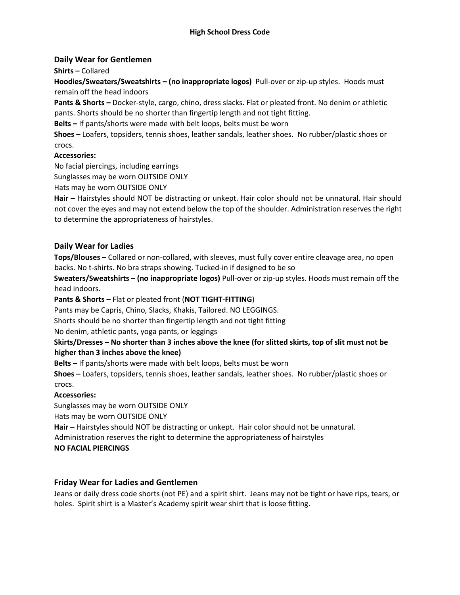# **Daily Wear for Gentlemen**

## **Shirts –** Collared

**Hoodies/Sweaters/Sweatshirts – (no inappropriate logos)** Pull-over or zip-up styles. Hoods must remain off the head indoors

**Pants & Shorts –** Docker-style, cargo, chino, dress slacks. Flat or pleated front. No denim or athletic pants. Shorts should be no shorter than fingertip length and not tight fitting.

**Belts –** If pants/shorts were made with belt loops, belts must be worn

**Shoes –** Loafers, topsiders, tennis shoes, leather sandals, leather shoes. No rubber/plastic shoes or crocs.

## **Accessories:**

No facial piercings, including earrings

Sunglasses may be worn OUTSIDE ONLY

Hats may be worn OUTSIDE ONLY

**Hair –** Hairstyles should NOT be distracting or unkept. Hair color should not be unnatural. Hair should not cover the eyes and may not extend below the top of the shoulder. Administration reserves the right to determine the appropriateness of hairstyles.

# **Daily Wear for Ladies**

**Tops/Blouses –** Collared or non-collared, with sleeves, must fully cover entire cleavage area, no open backs. No t-shirts. No bra straps showing. Tucked-in if designed to be so

**Sweaters/Sweatshirts – (no inappropriate logos)** Pull-over or zip-up styles. Hoods must remain off the head indoors.

#### **Pants & Shorts –** Flat or pleated front (**NOT TIGHT-FITTING**)

Pants may be Capris, Chino, Slacks, Khakis, Tailored. NO LEGGINGS.

Shorts should be no shorter than fingertip length and not tight fitting

No denim, athletic pants, yoga pants, or leggings

## **Skirts/Dresses – No shorter than 3 inches above the knee (for slitted skirts, top of slit must not be higher than 3 inches above the knee)**

**Belts –** If pants/shorts were made with belt loops, belts must be worn

**Shoes –** Loafers, topsiders, tennis shoes, leather sandals, leather shoes. No rubber/plastic shoes or crocs.

#### **Accessories:**

Sunglasses may be worn OUTSIDE ONLY

Hats may be worn OUTSIDE ONLY

**Hair –** Hairstyles should NOT be distracting or unkept. Hair color should not be unnatural.

Administration reserves the right to determine the appropriateness of hairstyles

**NO FACIAL PIERCINGS**

# **Friday Wear for Ladies and Gentlemen**

Jeans or daily dress code shorts (not PE) and a spirit shirt. Jeans may not be tight or have rips, tears, or holes. Spirit shirt is a Master's Academy spirit wear shirt that is loose fitting.